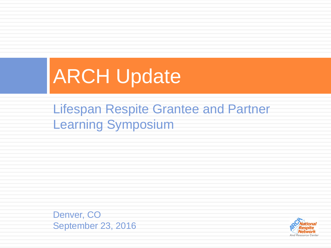## ARCH Update

Lifespan Respite Grantee and Partner Learning Symposium

Denver, CO September 23, 2016

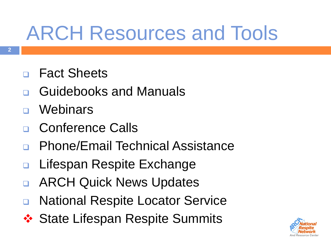# ARCH Resources and Tools

- Fact Sheets
- Guidebooks and Manuals
- **Webinars**
- Conference Calls
- Phone/Email Technical Assistance
- Lifespan Respite Exchange
- ARCH Quick News Updates
- **n** National Respite Locator Service
- ❖ State Lifespan Respite Summits

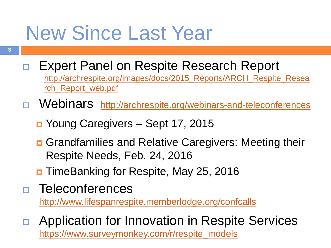## New Since Last Year

- □ Expert Panel on Respite Research Report [http://archrespite.org/images/docs/2015\\_Reports/ARCH\\_Respite\\_Resea](http://archrespite.org/images/docs/2015_Reports/ARCH_Respite_Research_Report_web.pdf) rch\_Report\_web.pdf
- D Webinars <http://archrespite.org/webinars-and-teleconferences>
	- Young Caregivers Sept 17, 2015
	- **<u>n</u>** Grandfamilies and Relative Caregivers: Meeting their Respite Needs, Feb. 24, 2016
	- TimeBanking for Respite, May 25, 2016
- Teleconferences <http://www.lifespanrespite.memberlodge.org/confcalls>
- □ Application for Innovation in Respite Services [https://www.surveymonkey.com/r/respite\\_models](https://www.surveymonkey.com/r/respite_models)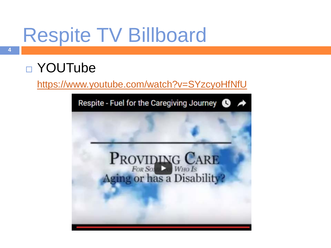## Respite TV Billboard

#### □ YOUTube

<https://www.youtube.com/watch?v=SYzcyoHfNfU>

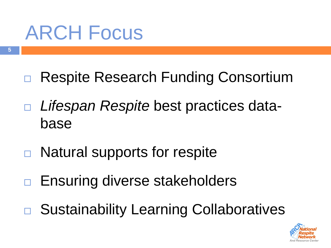## ARCH Focus

- □ Respite Research Funding Consortium
- *Lifespan Respite* best practices database
- □ Natural supports for respite
- □ Ensuring diverse stakeholders
- □ Sustainability Learning Collaboratives

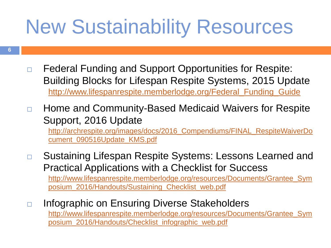### New Sustainability Resources

- **6**
- □ Federal Funding and Support Opportunities for Respite: Building Blocks for Lifespan Respite Systems, 2015 Update [http://www.lifespanrespite.memberlodge.org/Federal\\_Funding\\_Guide](http://www.lifespanrespite.memberlodge.org/Federal_Funding_Guide)
- □ Home and Community-Based Medicaid Waivers for Respite Support, 2016 Update [http://archrespite.org/images/docs/2016\\_Compendiums/FINAL\\_RespiteWaiverDo](http://archrespite.org/images/docs/2016_Compendiums/FINAL_RespiteWaiverDocument_090516Update_KMS.pdf) cument\_090516Update\_KMS.pdf
- □ Sustaining Lifespan Respite Systems: Lessons Learned and Practical Applications with a Checklist for Success [http://www.lifespanrespite.memberlodge.org/resources/Documents/Grantee\\_Sym](http://www.lifespanrespite.memberlodge.org/resources/Documents/Grantee_Symposium_2016/Handouts/Sustaining_Checklist_web.pdf) posium\_2016/Handouts/Sustaining\_Checklist\_web.pdf
- □ Infographic on Ensuring Diverse Stakeholders [http://www.lifespanrespite.memberlodge.org/resources/Documents/Grantee\\_Sym](http://www.lifespanrespite.memberlodge.org/resources/Documents/Grantee_Symposium_2016/Handouts/Checklist_infographic_web.pdf) posium\_2016/Handouts/Checklist\_infographic\_web.pdf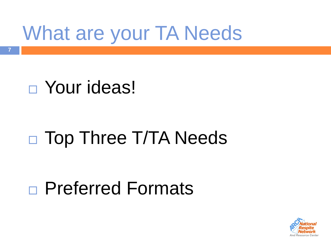# What are your TA Needs

#### Your ideas!

**7**

#### □ Top Three T/TA Needs

#### Preferred Formats